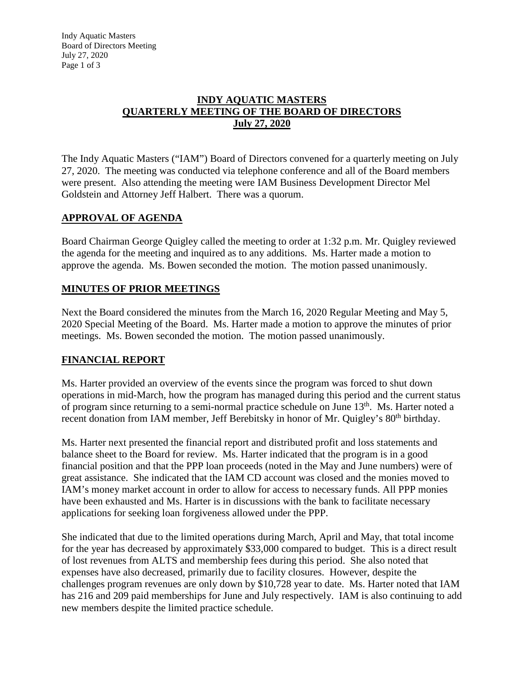Indy Aquatic Masters Board of Directors Meeting July 27, 2020 Page 1 of 3

#### **INDY AQUATIC MASTERS QUARTERLY MEETING OF THE BOARD OF DIRECTORS July 27, 2020**

The Indy Aquatic Masters ("IAM") Board of Directors convened for a quarterly meeting on July 27, 2020. The meeting was conducted via telephone conference and all of the Board members were present. Also attending the meeting were IAM Business Development Director Mel Goldstein and Attorney Jeff Halbert. There was a quorum.

### **APPROVAL OF AGENDA**

Board Chairman George Quigley called the meeting to order at 1:32 p.m. Mr. Quigley reviewed the agenda for the meeting and inquired as to any additions. Ms. Harter made a motion to approve the agenda. Ms. Bowen seconded the motion. The motion passed unanimously.

# **MINUTES OF PRIOR MEETINGS**

Next the Board considered the minutes from the March 16, 2020 Regular Meeting and May 5, 2020 Special Meeting of the Board. Ms. Harter made a motion to approve the minutes of prior meetings. Ms. Bowen seconded the motion. The motion passed unanimously.

### **FINANCIAL REPORT**

Ms. Harter provided an overview of the events since the program was forced to shut down operations in mid-March, how the program has managed during this period and the current status of program since returning to a semi-normal practice schedule on June 13th. Ms. Harter noted a recent donation from IAM member, Jeff Berebitsky in honor of Mr. Quigley's 80<sup>th</sup> birthday.

Ms. Harter next presented the financial report and distributed profit and loss statements and balance sheet to the Board for review. Ms. Harter indicated that the program is in a good financial position and that the PPP loan proceeds (noted in the May and June numbers) were of great assistance. She indicated that the IAM CD account was closed and the monies moved to IAM's money market account in order to allow for access to necessary funds. All PPP monies have been exhausted and Ms. Harter is in discussions with the bank to facilitate necessary applications for seeking loan forgiveness allowed under the PPP.

She indicated that due to the limited operations during March, April and May, that total income for the year has decreased by approximately \$33,000 compared to budget. This is a direct result of lost revenues from ALTS and membership fees during this period. She also noted that expenses have also decreased, primarily due to facility closures. However, despite the challenges program revenues are only down by \$10,728 year to date. Ms. Harter noted that IAM has 216 and 209 paid memberships for June and July respectively. IAM is also continuing to add new members despite the limited practice schedule.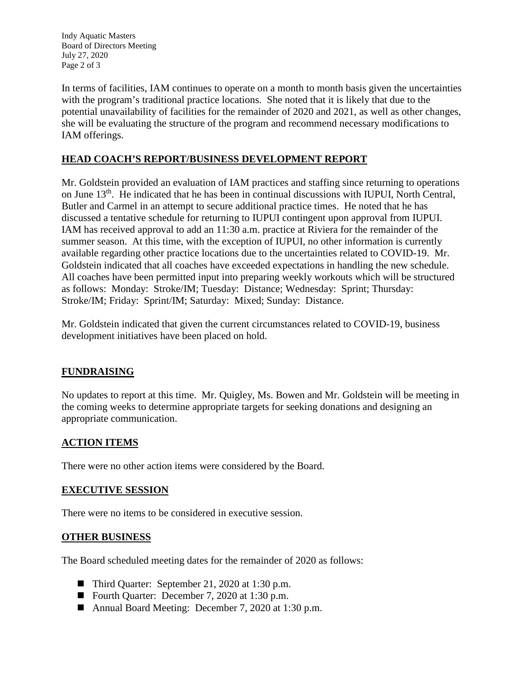Indy Aquatic Masters Board of Directors Meeting July 27, 2020 Page 2 of 3

In terms of facilities, IAM continues to operate on a month to month basis given the uncertainties with the program's traditional practice locations. She noted that it is likely that due to the potential unavailability of facilities for the remainder of 2020 and 2021, as well as other changes, she will be evaluating the structure of the program and recommend necessary modifications to IAM offerings.

# **HEAD COACH'S REPORT/BUSINESS DEVELOPMENT REPORT**

Mr. Goldstein provided an evaluation of IAM practices and staffing since returning to operations on June 13<sup>th</sup>. He indicated that he has been in continual discussions with IUPUI, North Central, Butler and Carmel in an attempt to secure additional practice times. He noted that he has discussed a tentative schedule for returning to IUPUI contingent upon approval from IUPUI. IAM has received approval to add an 11:30 a.m. practice at Riviera for the remainder of the summer season. At this time, with the exception of IUPUI, no other information is currently available regarding other practice locations due to the uncertainties related to COVID-19. Mr. Goldstein indicated that all coaches have exceeded expectations in handling the new schedule. All coaches have been permitted input into preparing weekly workouts which will be structured as follows: Monday: Stroke/IM; Tuesday: Distance; Wednesday: Sprint; Thursday: Stroke/IM; Friday: Sprint/IM; Saturday: Mixed; Sunday: Distance.

Mr. Goldstein indicated that given the current circumstances related to COVID-19, business development initiatives have been placed on hold.

### **FUNDRAISING**

No updates to report at this time. Mr. Quigley, Ms. Bowen and Mr. Goldstein will be meeting in the coming weeks to determine appropriate targets for seeking donations and designing an appropriate communication.

### **ACTION ITEMS**

There were no other action items were considered by the Board.

### **EXECUTIVE SESSION**

There were no items to be considered in executive session.

### **OTHER BUSINESS**

The Board scheduled meeting dates for the remainder of 2020 as follows:

- Third Quarter: September 21, 2020 at 1:30 p.m.
- Fourth Quarter: December 7, 2020 at 1:30 p.m.
- Annual Board Meeting: December 7, 2020 at 1:30 p.m.